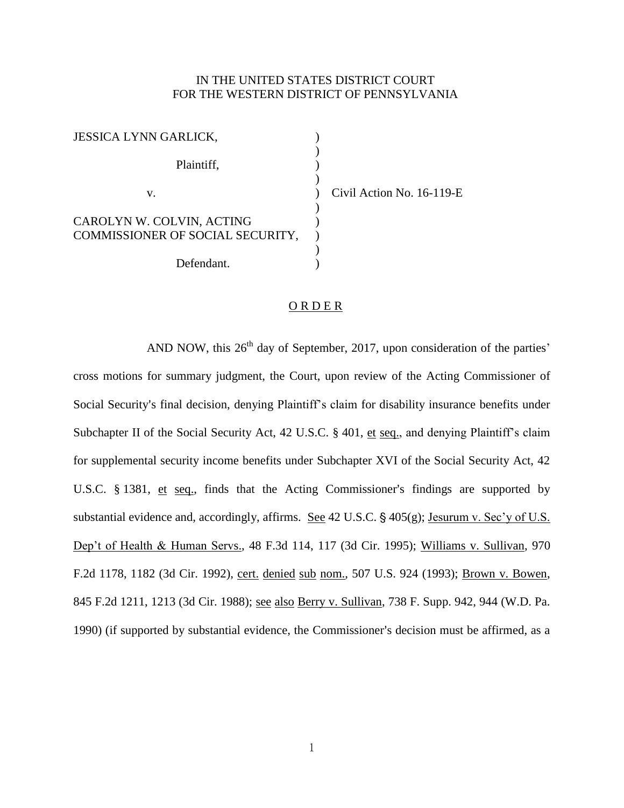## IN THE UNITED STATES DISTRICT COURT FOR THE WESTERN DISTRICT OF PENNSYLVANIA

| <b>JESSICA LYNN GARLICK,</b>     |  |
|----------------------------------|--|
|                                  |  |
| Plaintiff,                       |  |
| V.                               |  |
|                                  |  |
| CAROLYN W. COLVIN, ACTING        |  |
| COMMISSIONER OF SOCIAL SECURITY, |  |
|                                  |  |
| Defendant.                       |  |

 $v$ il Action No. 16-119-E

## **ORDER**

AND NOW, this  $26<sup>th</sup>$  day of September, 2017, upon consideration of the parties' cross motions for summary judgment, the Court, upon review of the Acting Commissioner of Social Security's final decision, denying Plaintiff's claim for disability insurance benefits under Subchapter II of the Social Security Act, 42 U.S.C. § 401, et seq., and denying Plaintiff's claim for supplemental security income benefits under Subchapter XVI of the Social Security Act, 42 U.S.C.  $\S$  1381, et seq., finds that the Acting Commissioner's findings are supported by substantial evidence and, accordingly, affirms. See 42 U.S.C.  $\frac{6}{5}$  405(g); Jesurum v. Sec'y of U.S. Dep't of Health & Human Servs., 48 F.3d 114, 117 (3d Cir. 1995); Williams v. Sullivan, 970 F.2d 1178, 1182 (3d Cir. 1992), cert. denied sub nom., 507 U.S. 924 (1993); Brown v. Bowen, 845 F.2d 1211, 1213 (3d Cir. 1988); see also Berry v. Sullivan, 738 F. Supp. 942, 944 (W.D. Pa. 1990) (if supported by substantial evidence, the Commissioner's decision must be affirmed, as a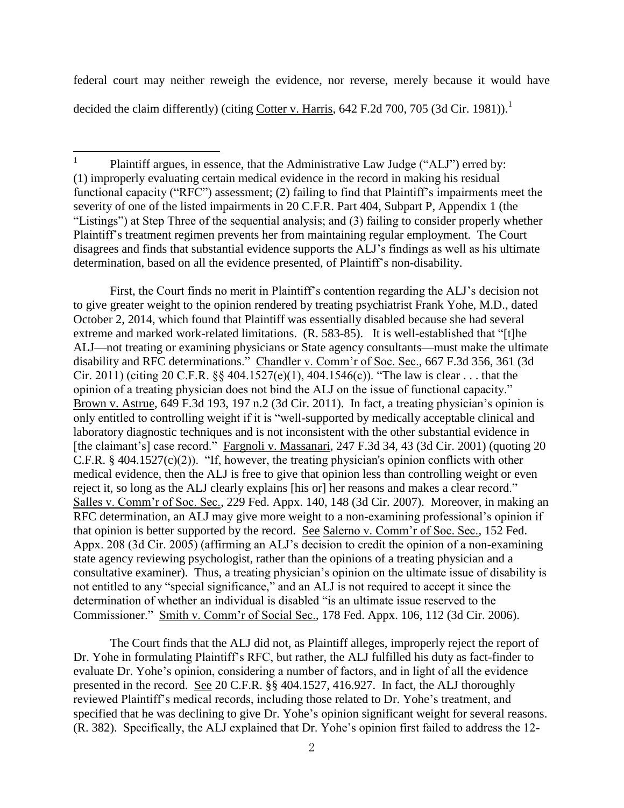federal court may neither reweigh the evidence, nor reverse, merely because it would have decided the claim differently) (citing Cotter v. Harris,  $642$  F.2d 700, 705 (3d Cir. 1981)).<sup>1</sup>

First, the Court finds no merit in Plaintiff's contention regarding the ALJ's decision not to give greater weight to the opinion rendered by treating psychiatrist Frank Yohe, M.D., dated October 2, 2014, which found that Plaintiff was essentially disabled because she had several extreme and marked work-related limitations. (R. 583-85). It is well-established that "[t]he ALJ—not treating or examining physicians or State agency consultants—must make the ultimate disability and RFC determinations." Chandler v. Comm'r of Soc. Sec., 667 F.3d 356, 361 (3d Cir. 2011) (citing 20 C.F.R.  $\S$  404.1527(e)(1), 404.1546(c)). "The law is clear . . . that the opinion of a treating physician does not bind the ALJ on the issue of functional capacity." Brown v. Astrue, 649 F.3d 193, 197 n.2 (3d Cir. 2011). In fact, a treating physician's opinion is only entitled to controlling weight if it is "well-supported by medically acceptable clinical and laboratory diagnostic techniques and is not inconsistent with the other substantial evidence in [the claimant's] case record." Fargnoli v. Massanari, 247 F.3d 34, 43 (3d Cir. 2001) (quoting 20 C.F.R.  $\S$  404.1527(c)(2)). "If, however, the treating physician's opinion conflicts with other medical evidence, then the ALJ is free to give that opinion less than controlling weight or even reject it, so long as the ALJ clearly explains [his or] her reasons and makes a clear record." Salles v. Comm'r of Soc. Sec., 229 Fed. Appx. 140, 148 (3d Cir. 2007). Moreover, in making an RFC determination, an ALJ may give more weight to a non-examining professional's opinion if that opinion is better supported by the record. See Salerno v. Comm'r of Soc. Sec., 152 Fed. Appx. 208 (3d Cir. 2005) (affirming an ALJ's decision to credit the opinion of a non-examining state agency reviewing psychologist, rather than the opinions of a treating physician and a consultative examiner). Thus, a treating physician's opinion on the ultimate issue of disability is not entitled to any "special significance," and an ALJ is not required to accept it since the determination of whether an individual is disabled "is an ultimate issue reserved to the Commissioner." Smith v. Comm'r of Social Sec., 178 Fed. Appx. 106, 112 (3d Cir. 2006).

The Court finds that the ALJ did not, as Plaintiff alleges, improperly reject the report of Dr. Yohe in formulating Plaintiff's RFC, but rather, the ALJ fulfilled his duty as fact-finder to evaluate Dr. Yohe's opinion, considering a number of factors, and in light of all the evidence presented in the record. See 20 C.F.R. §§ 404.1527, 416.927. In fact, the ALJ thoroughly reviewed Plaintiff's medical records, including those related to Dr. Yohe's treatment, and specified that he was declining to give Dr. Yohe's opinion significant weight for several reasons. (R. 382). Specifically, the ALJ explained that Dr. Yohe's opinion first failed to address the 12-

 $\frac{1}{1}$ Plaintiff argues, in essence, that the Administrative Law Judge ("ALJ") erred by: (1) improperly evaluating certain medical evidence in the record in making his residual functional capacity ("RFC") assessment; (2) failing to find that Plaintiff's impairments meet the severity of one of the listed impairments in 20 C.F.R. Part 404, Subpart P, Appendix 1 (the "Listings") at Step Three of the sequential analysis; and (3) failing to consider properly whether Plaintiff's treatment regimen prevents her from maintaining regular employment. The Court disagrees and finds that substantial evidence supports the ALJ's findings as well as his ultimate determination, based on all the evidence presented, of Plaintiff's non-disability.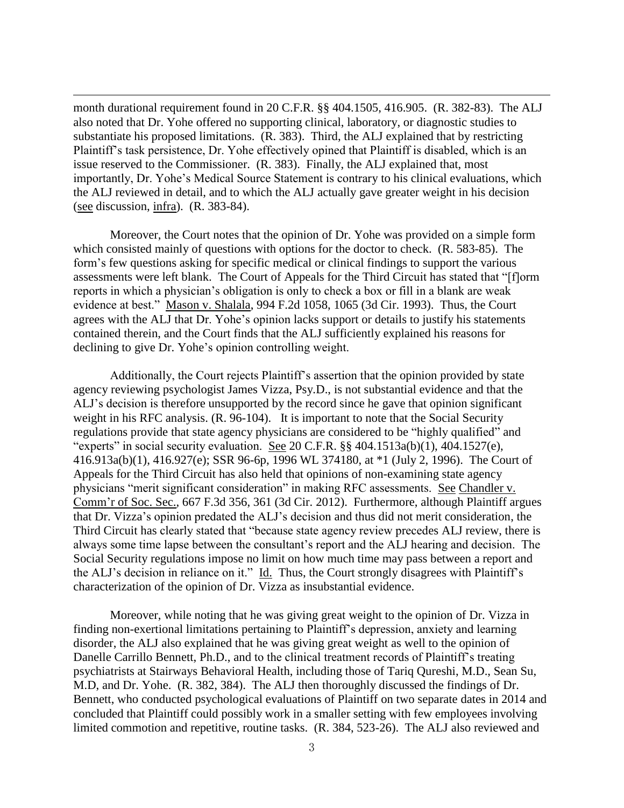month durational requirement found in 20 C.F.R. §§ 404.1505, 416.905. (R. 382-83). The ALJ also noted that Dr. Yohe offered no supporting clinical, laboratory, or diagnostic studies to substantiate his proposed limitations. (R. 383). Third, the ALJ explained that by restricting Plaintiff's task persistence, Dr. Yohe effectively opined that Plaintiff is disabled, which is an issue reserved to the Commissioner. (R. 383). Finally, the ALJ explained that, most importantly, Dr. Yohe's Medical Source Statement is contrary to his clinical evaluations, which the ALJ reviewed in detail, and to which the ALJ actually gave greater weight in his decision (see discussion, infra). (R. 383-84).

 $\overline{a}$ 

Moreover, the Court notes that the opinion of Dr. Yohe was provided on a simple form which consisted mainly of questions with options for the doctor to check. (R. 583-85). The form's few questions asking for specific medical or clinical findings to support the various assessments were left blank. The Court of Appeals for the Third Circuit has stated that "[f]orm reports in which a physician's obligation is only to check a box or fill in a blank are weak evidence at best." Mason v. Shalala, 994 F.2d 1058, 1065 (3d Cir. 1993). Thus, the Court agrees with the ALJ that Dr. Yohe's opinion lacks support or details to justify his statements contained therein, and the Court finds that the ALJ sufficiently explained his reasons for declining to give Dr. Yohe's opinion controlling weight.

Additionally, the Court rejects Plaintiff's assertion that the opinion provided by state agency reviewing psychologist James Vizza, Psy.D., is not substantial evidence and that the ALJ's decision is therefore unsupported by the record since he gave that opinion significant weight in his RFC analysis. (R. 96-104). It is important to note that the Social Security regulations provide that state agency physicians are considered to be "highly qualified" and "experts" in social security evaluation. See 20 C.F.R.  $\S$ § 404.1513a(b)(1), 404.1527(e), 416.913a(b)(1), 416.927(e); SSR 96-6p, 1996 WL 374180, at \*1 (July 2, 1996). The Court of Appeals for the Third Circuit has also held that opinions of non-examining state agency physicians "merit significant consideration" in making RFC assessments. See Chandler v. Comm'r of Soc. Sec., 667 F.3d 356, 361 (3d Cir. 2012). Furthermore, although Plaintiff argues that Dr. Vizza's opinion predated the ALJ's decision and thus did not merit consideration, the Third Circuit has clearly stated that "because state agency review precedes ALJ review, there is always some time lapse between the consultant's report and the ALJ hearing and decision. The Social Security regulations impose no limit on how much time may pass between a report and the ALJ's decision in reliance on it." Id. Thus, the Court strongly disagrees with Plaintiff's characterization of the opinion of Dr. Vizza as insubstantial evidence.

Moreover, while noting that he was giving great weight to the opinion of Dr. Vizza in finding non-exertional limitations pertaining to Plaintiff's depression, anxiety and learning disorder, the ALJ also explained that he was giving great weight as well to the opinion of Danelle Carrillo Bennett, Ph.D., and to the clinical treatment records of Plaintiff's treating psychiatrists at Stairways Behavioral Health, including those of Tariq Qureshi, M.D., Sean Su, M.D, and Dr. Yohe. (R. 382, 384). The ALJ then thoroughly discussed the findings of Dr. Bennett, who conducted psychological evaluations of Plaintiff on two separate dates in 2014 and concluded that Plaintiff could possibly work in a smaller setting with few employees involving limited commotion and repetitive, routine tasks. (R. 384, 523-26). The ALJ also reviewed and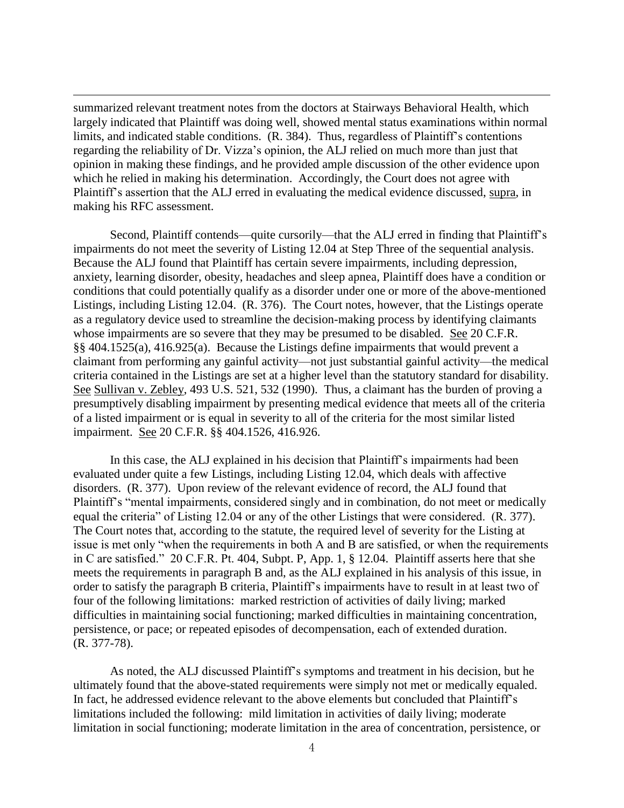summarized relevant treatment notes from the doctors at Stairways Behavioral Health, which largely indicated that Plaintiff was doing well, showed mental status examinations within normal limits, and indicated stable conditions. (R. 384). Thus, regardless of Plaintiff's contentions regarding the reliability of Dr. Vizza's opinion, the ALJ relied on much more than just that opinion in making these findings, and he provided ample discussion of the other evidence upon which he relied in making his determination. Accordingly, the Court does not agree with Plaintiff's assertion that the ALJ erred in evaluating the medical evidence discussed, supra, in making his RFC assessment.

 $\overline{a}$ 

Second, Plaintiff contends—quite cursorily—that the ALJ erred in finding that Plaintiff's impairments do not meet the severity of Listing 12.04 at Step Three of the sequential analysis. Because the ALJ found that Plaintiff has certain severe impairments, including depression, anxiety, learning disorder, obesity, headaches and sleep apnea, Plaintiff does have a condition or conditions that could potentially qualify as a disorder under one or more of the above-mentioned Listings, including Listing 12.04. (R. 376). The Court notes, however, that the Listings operate as a regulatory device used to streamline the decision-making process by identifying claimants whose impairments are so severe that they may be presumed to be disabled. See 20 C.F.R. §§ 404.1525(a), 416.925(a). Because the Listings define impairments that would prevent a claimant from performing any gainful activity—not just substantial gainful activity—the medical criteria contained in the Listings are set at a higher level than the statutory standard for disability. See Sullivan v. Zebley, 493 U.S. 521, 532 (1990). Thus, a claimant has the burden of proving a presumptively disabling impairment by presenting medical evidence that meets all of the criteria of a listed impairment or is equal in severity to all of the criteria for the most similar listed impairment. See 20 C.F.R. §§ 404.1526, 416.926.

In this case, the ALJ explained in his decision that Plaintiff's impairments had been evaluated under quite a few Listings, including Listing 12.04, which deals with affective disorders. (R. 377). Upon review of the relevant evidence of record, the ALJ found that Plaintiff's "mental impairments, considered singly and in combination, do not meet or medically equal the criteria" of Listing 12.04 or any of the other Listings that were considered. (R. 377). The Court notes that, according to the statute, the required level of severity for the Listing at issue is met only "when the requirements in both A and B are satisfied, or when the requirements in C are satisfied." 20 C.F.R. Pt. 404, Subpt. P, App. 1, § 12.04. Plaintiff asserts here that she meets the requirements in paragraph B and, as the ALJ explained in his analysis of this issue, in order to satisfy the paragraph B criteria, Plaintiff's impairments have to result in at least two of four of the following limitations: marked restriction of activities of daily living; marked difficulties in maintaining social functioning; marked difficulties in maintaining concentration, persistence, or pace; or repeated episodes of decompensation, each of extended duration. (R. 377-78).

As noted, the ALJ discussed Plaintiff's symptoms and treatment in his decision, but he ultimately found that the above-stated requirements were simply not met or medically equaled. In fact, he addressed evidence relevant to the above elements but concluded that Plaintiff's limitations included the following: mild limitation in activities of daily living; moderate limitation in social functioning; moderate limitation in the area of concentration, persistence, or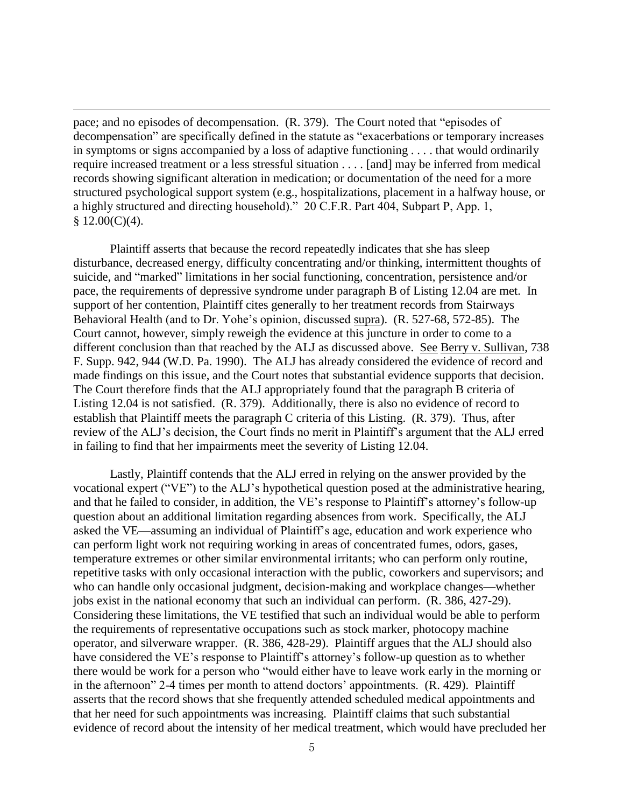pace; and no episodes of decompensation. (R. 379). The Court noted that "episodes of decompensation" are specifically defined in the statute as "exacerbations or temporary increases in symptoms or signs accompanied by a loss of adaptive functioning . . . . that would ordinarily require increased treatment or a less stressful situation . . . . [and] may be inferred from medical records showing significant alteration in medication; or documentation of the need for a more structured psychological support system (e.g., hospitalizations, placement in a halfway house, or a highly structured and directing household)." 20 C.F.R. Part 404, Subpart P, App. 1,  $$12.00(C)(4).$ 

 $\overline{a}$ 

Plaintiff asserts that because the record repeatedly indicates that she has sleep disturbance, decreased energy, difficulty concentrating and/or thinking, intermittent thoughts of suicide, and "marked" limitations in her social functioning, concentration, persistence and/or pace, the requirements of depressive syndrome under paragraph B of Listing 12.04 are met. In support of her contention, Plaintiff cites generally to her treatment records from Stairways Behavioral Health (and to Dr. Yohe's opinion, discussed supra). (R. 527-68, 572-85). The Court cannot, however, simply reweigh the evidence at this juncture in order to come to a different conclusion than that reached by the ALJ as discussed above. See Berry v. Sullivan, 738 F. Supp. 942, 944 (W.D. Pa. 1990). The ALJ has already considered the evidence of record and made findings on this issue, and the Court notes that substantial evidence supports that decision. The Court therefore finds that the ALJ appropriately found that the paragraph B criteria of Listing 12.04 is not satisfied. (R. 379). Additionally, there is also no evidence of record to establish that Plaintiff meets the paragraph C criteria of this Listing. (R. 379). Thus, after review of the ALJ's decision, the Court finds no merit in Plaintiff's argument that the ALJ erred in failing to find that her impairments meet the severity of Listing 12.04.

Lastly, Plaintiff contends that the ALJ erred in relying on the answer provided by the vocational expert ("VE") to the ALJ's hypothetical question posed at the administrative hearing, and that he failed to consider, in addition, the VE's response to Plaintiff's attorney's follow-up question about an additional limitation regarding absences from work. Specifically, the ALJ asked the VE—assuming an individual of Plaintiff's age, education and work experience who can perform light work not requiring working in areas of concentrated fumes, odors, gases, temperature extremes or other similar environmental irritants; who can perform only routine, repetitive tasks with only occasional interaction with the public, coworkers and supervisors; and who can handle only occasional judgment, decision-making and workplace changes—whether jobs exist in the national economy that such an individual can perform. (R. 386, 427-29). Considering these limitations, the VE testified that such an individual would be able to perform the requirements of representative occupations such as stock marker, photocopy machine operator, and silverware wrapper. (R. 386, 428-29). Plaintiff argues that the ALJ should also have considered the VE's response to Plaintiff's attorney's follow-up question as to whether there would be work for a person who "would either have to leave work early in the morning or in the afternoon" 2-4 times per month to attend doctors' appointments. (R. 429). Plaintiff asserts that the record shows that she frequently attended scheduled medical appointments and that her need for such appointments was increasing. Plaintiff claims that such substantial evidence of record about the intensity of her medical treatment, which would have precluded her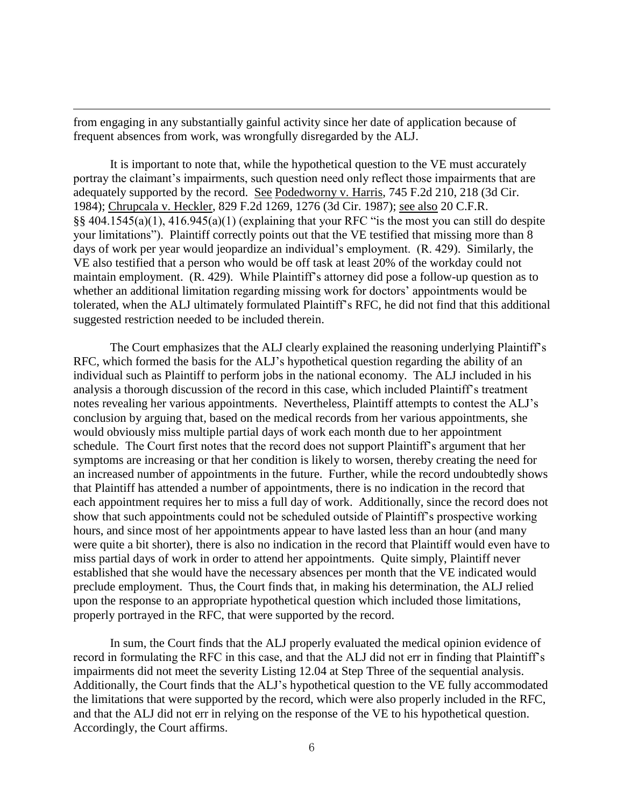from engaging in any substantially gainful activity since her date of application because of frequent absences from work, was wrongfully disregarded by the ALJ.

 $\overline{a}$ 

It is important to note that, while the hypothetical question to the VE must accurately portray the claimant's impairments, such question need only reflect those impairments that are adequately supported by the record. See Podedworny v. Harris, 745 F.2d 210, 218 (3d Cir. 1984); Chrupcala v. Heckler, 829 F.2d 1269, 1276 (3d Cir. 1987); see also 20 C.F.R.  $\S$ § 404.1545(a)(1), 416.945(a)(1) (explaining that your RFC "is the most you can still do despite your limitations"). Plaintiff correctly points out that the VE testified that missing more than 8 days of work per year would jeopardize an individual's employment. (R. 429). Similarly, the VE also testified that a person who would be off task at least 20% of the workday could not maintain employment. (R. 429). While Plaintiff's attorney did pose a follow-up question as to whether an additional limitation regarding missing work for doctors' appointments would be tolerated, when the ALJ ultimately formulated Plaintiff's RFC, he did not find that this additional suggested restriction needed to be included therein.

The Court emphasizes that the ALJ clearly explained the reasoning underlying Plaintiff's RFC, which formed the basis for the ALJ's hypothetical question regarding the ability of an individual such as Plaintiff to perform jobs in the national economy. The ALJ included in his analysis a thorough discussion of the record in this case, which included Plaintiff's treatment notes revealing her various appointments. Nevertheless, Plaintiff attempts to contest the ALJ's conclusion by arguing that, based on the medical records from her various appointments, she would obviously miss multiple partial days of work each month due to her appointment schedule. The Court first notes that the record does not support Plaintiff's argument that her symptoms are increasing or that her condition is likely to worsen, thereby creating the need for an increased number of appointments in the future. Further, while the record undoubtedly shows that Plaintiff has attended a number of appointments, there is no indication in the record that each appointment requires her to miss a full day of work. Additionally, since the record does not show that such appointments could not be scheduled outside of Plaintiff's prospective working hours, and since most of her appointments appear to have lasted less than an hour (and many were quite a bit shorter), there is also no indication in the record that Plaintiff would even have to miss partial days of work in order to attend her appointments. Quite simply, Plaintiff never established that she would have the necessary absences per month that the VE indicated would preclude employment. Thus, the Court finds that, in making his determination, the ALJ relied upon the response to an appropriate hypothetical question which included those limitations, properly portrayed in the RFC, that were supported by the record.

In sum, the Court finds that the ALJ properly evaluated the medical opinion evidence of record in formulating the RFC in this case, and that the ALJ did not err in finding that Plaintiff's impairments did not meet the severity Listing 12.04 at Step Three of the sequential analysis. Additionally, the Court finds that the ALJ's hypothetical question to the VE fully accommodated the limitations that were supported by the record, which were also properly included in the RFC, and that the ALJ did not err in relying on the response of the VE to his hypothetical question. Accordingly, the Court affirms.